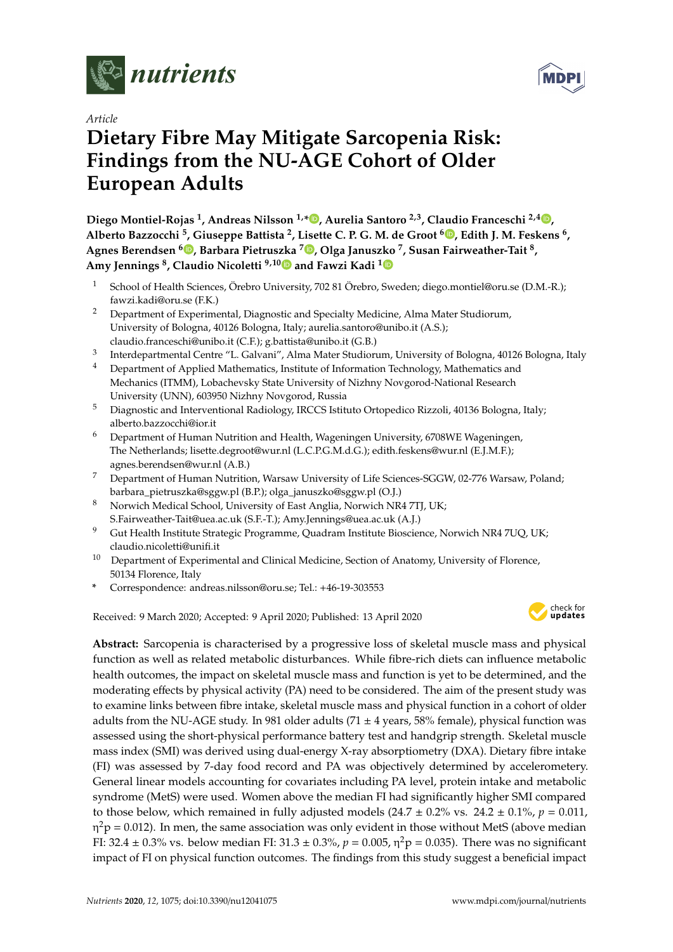



# *Article* **Dietary Fibre May Mitigate Sarcopenia Risk: Findings from the NU-AGE Cohort of Older European Adults**

**Diego Montiel-Rojas <sup>1</sup> , Andreas Nilsson 1,[\\*](https://orcid.org/0000-0003-3793-335X) , Aurelia Santoro 2,3, Claudio Franceschi 2,4 [,](https://orcid.org/0000-0001-9841-6386) Alberto Bazzocchi <sup>5</sup> , Giuseppe Battista <sup>2</sup> , Lisette C. P. G. M. de Groot <sup>6</sup> [,](https://orcid.org/0000-0003-2778-2789) Edith J. M. Feskens <sup>6</sup> , Agnes Berendsen [6](https://orcid.org/0000-0003-3459-0603) , Barbara Pietruszka <sup>7</sup> [,](https://orcid.org/0000-0003-0731-8612) Olga Januszko <sup>7</sup> , Susan Fairweather-Tait <sup>8</sup> , Amy Jennings <sup>8</sup> , Claudio Nicoletti 9,1[0](https://orcid.org/0000-0002-6242-4867) and Fawzi Kadi [1](https://orcid.org/0000-0002-9831-0896)**

- <sup>1</sup> School of Health Sciences, Örebro University, 702 81 Örebro, Sweden; diego.montiel@oru.se (D.M.-R.); fawzi.kadi@oru.se (F.K.)
- <sup>2</sup> Department of Experimental, Diagnostic and Specialty Medicine, Alma Mater Studiorum, University of Bologna, 40126 Bologna, Italy; aurelia.santoro@unibo.it (A.S.); claudio.franceschi@unibo.it (C.F.); g.battista@unibo.it (G.B.)
- 3 Interdepartmental Centre "L. Galvani", Alma Mater Studiorum, University of Bologna, 40126 Bologna, Italy
- <sup>4</sup> Department of Applied Mathematics, Institute of Information Technology, Mathematics and Mechanics (ITMM), Lobachevsky State University of Nizhny Novgorod-National Research University (UNN), 603950 Nizhny Novgorod, Russia
- <sup>5</sup> Diagnostic and Interventional Radiology, IRCCS Istituto Ortopedico Rizzoli, 40136 Bologna, Italy; alberto.bazzocchi@ior.it
- <sup>6</sup> Department of Human Nutrition and Health, Wageningen University, 6708WE Wageningen, The Netherlands; lisette.degroot@wur.nl (L.C.P.G.M.d.G.); edith.feskens@wur.nl (E.J.M.F.); agnes.berendsen@wur.nl (A.B.)
- <sup>7</sup> Department of Human Nutrition, Warsaw University of Life Sciences-SGGW, 02-776 Warsaw, Poland; barbara\_pietruszka@sggw.pl (B.P.); olga\_januszko@sggw.pl (O.J.)
- <sup>8</sup> Norwich Medical School, University of East Anglia, Norwich NR4 7TJ, UK; S.Fairweather-Tait@uea.ac.uk (S.F.-T.); Amy.Jennings@uea.ac.uk (A.J.)
- <sup>9</sup> Gut Health Institute Strategic Programme, Quadram Institute Bioscience, Norwich NR4 7UQ, UK; claudio.nicoletti@unifi.it
- <sup>10</sup> Department of Experimental and Clinical Medicine, Section of Anatomy, University of Florence, 50134 Florence, Italy
- **\*** Correspondence: andreas.nilsson@oru.se; Tel.: +46-19-303553

Received: 9 March 2020; Accepted: 9 April 2020; Published: 13 April 2020



**Abstract:** Sarcopenia is characterised by a progressive loss of skeletal muscle mass and physical function as well as related metabolic disturbances. While fibre-rich diets can influence metabolic health outcomes, the impact on skeletal muscle mass and function is yet to be determined, and the moderating effects by physical activity (PA) need to be considered. The aim of the present study was to examine links between fibre intake, skeletal muscle mass and physical function in a cohort of older adults from the NU-AGE study. In 981 older adults (71  $\pm$  4 years, 58% female), physical function was assessed using the short-physical performance battery test and handgrip strength. Skeletal muscle mass index (SMI) was derived using dual-energy X-ray absorptiometry (DXA). Dietary fibre intake (FI) was assessed by 7-day food record and PA was objectively determined by accelerometery. General linear models accounting for covariates including PA level, protein intake and metabolic syndrome (MetS) were used. Women above the median FI had significantly higher SMI compared to those below, which remained in fully adjusted models  $(24.7 \pm 0.2\% \text{ vs. } 24.2 \pm 0.1\% \text{, } p = 0.011)$ , η $^2$ p = 0.012). In men, the same association was only evident in those without MetS (above median FI: 32.4  $\pm$  0.3% vs. below median FI: 31.3  $\pm$  0.3%,  $p = 0.005$ ,  $\eta^2 p = 0.035$ ). There was no significant impact of FI on physical function outcomes. The findings from this study suggest a beneficial impact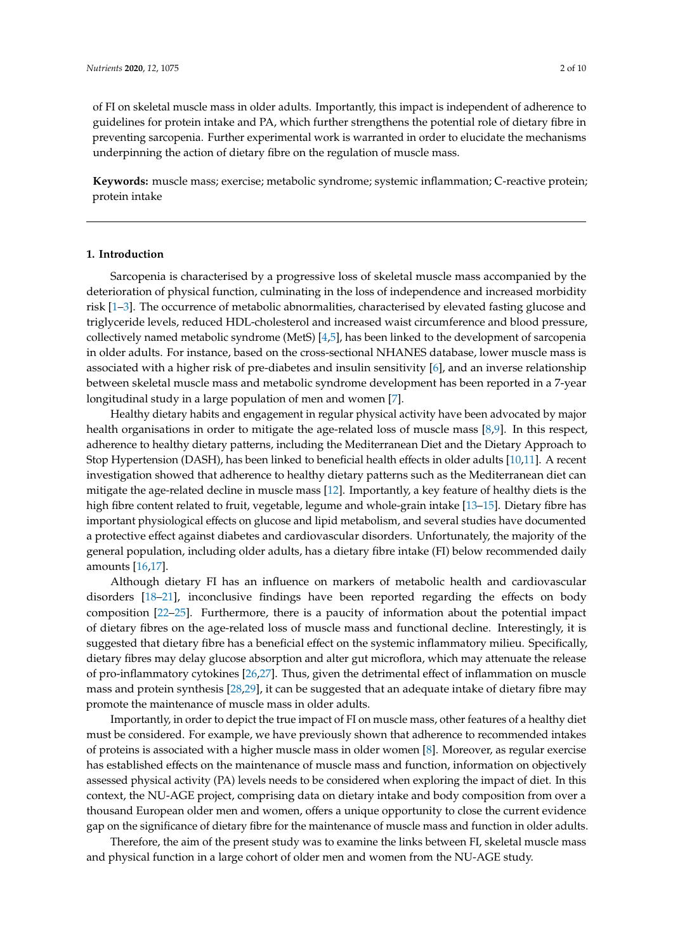of FI on skeletal muscle mass in older adults. Importantly, this impact is independent of adherence to guidelines for protein intake and PA, which further strengthens the potential role of dietary fibre in preventing sarcopenia. Further experimental work is warranted in order to elucidate the mechanisms underpinning the action of dietary fibre on the regulation of muscle mass.

**Keywords:** muscle mass; exercise; metabolic syndrome; systemic inflammation; C-reactive protein; protein intake

## **1. Introduction**

Sarcopenia is characterised by a progressive loss of skeletal muscle mass accompanied by the deterioration of physical function, culminating in the loss of independence and increased morbidity risk [\[1](#page-7-0)[–3\]](#page-7-1). The occurrence of metabolic abnormalities, characterised by elevated fasting glucose and triglyceride levels, reduced HDL-cholesterol and increased waist circumference and blood pressure, collectively named metabolic syndrome (MetS) [\[4](#page-7-2)[,5\]](#page-7-3), has been linked to the development of sarcopenia in older adults. For instance, based on the cross-sectional NHANES database, lower muscle mass is associated with a higher risk of pre-diabetes and insulin sensitivity [\[6\]](#page-7-4), and an inverse relationship between skeletal muscle mass and metabolic syndrome development has been reported in a 7-year longitudinal study in a large population of men and women [\[7\]](#page-7-5).

Healthy dietary habits and engagement in regular physical activity have been advocated by major health organisations in order to mitigate the age-related loss of muscle mass [\[8](#page-7-6)[,9\]](#page-7-7). In this respect, adherence to healthy dietary patterns, including the Mediterranean Diet and the Dietary Approach to Stop Hypertension (DASH), has been linked to beneficial health effects in older adults [\[10](#page-8-0)[,11\]](#page-8-1). A recent investigation showed that adherence to healthy dietary patterns such as the Mediterranean diet can mitigate the age-related decline in muscle mass [\[12\]](#page-8-2). Importantly, a key feature of healthy diets is the high fibre content related to fruit, vegetable, legume and whole-grain intake [\[13](#page-8-3)[–15\]](#page-8-4). Dietary fibre has important physiological effects on glucose and lipid metabolism, and several studies have documented a protective effect against diabetes and cardiovascular disorders. Unfortunately, the majority of the general population, including older adults, has a dietary fibre intake (FI) below recommended daily amounts [\[16](#page-8-5)[,17\]](#page-8-6).

Although dietary FI has an influence on markers of metabolic health and cardiovascular disorders [\[18–](#page-8-7)[21\]](#page-8-8), inconclusive findings have been reported regarding the effects on body composition [\[22–](#page-8-9)[25\]](#page-8-10). Furthermore, there is a paucity of information about the potential impact of dietary fibres on the age-related loss of muscle mass and functional decline. Interestingly, it is suggested that dietary fibre has a beneficial effect on the systemic inflammatory milieu. Specifically, dietary fibres may delay glucose absorption and alter gut microflora, which may attenuate the release of pro-inflammatory cytokines [\[26](#page-8-11)[,27\]](#page-8-12). Thus, given the detrimental effect of inflammation on muscle mass and protein synthesis [\[28](#page-8-13)[,29\]](#page-8-14), it can be suggested that an adequate intake of dietary fibre may promote the maintenance of muscle mass in older adults.

Importantly, in order to depict the true impact of FI on muscle mass, other features of a healthy diet must be considered. For example, we have previously shown that adherence to recommended intakes of proteins is associated with a higher muscle mass in older women [\[8\]](#page-7-6). Moreover, as regular exercise has established effects on the maintenance of muscle mass and function, information on objectively assessed physical activity (PA) levels needs to be considered when exploring the impact of diet. In this context, the NU-AGE project, comprising data on dietary intake and body composition from over a thousand European older men and women, offers a unique opportunity to close the current evidence gap on the significance of dietary fibre for the maintenance of muscle mass and function in older adults.

Therefore, the aim of the present study was to examine the links between FI, skeletal muscle mass and physical function in a large cohort of older men and women from the NU-AGE study.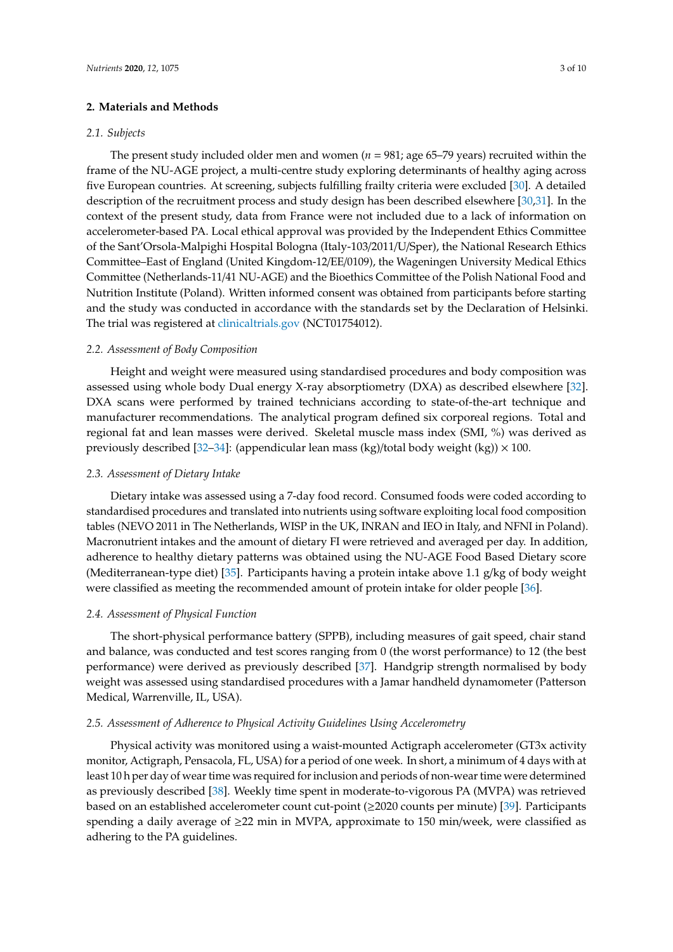## **2. Materials and Methods**

# *2.1. Subjects*

The present study included older men and women  $(n = 981;$  age 65–79 years) recruited within the frame of the NU-AGE project, a multi-centre study exploring determinants of healthy aging across five European countries. At screening, subjects fulfilling frailty criteria were excluded [\[30\]](#page-8-15). A detailed description of the recruitment process and study design has been described elsewhere [\[30](#page-8-15)[,31\]](#page-9-0). In the context of the present study, data from France were not included due to a lack of information on accelerometer-based PA. Local ethical approval was provided by the Independent Ethics Committee of the Sant'Orsola-Malpighi Hospital Bologna (Italy-103/2011/U/Sper), the National Research Ethics Committee–East of England (United Kingdom-12/EE/0109), the Wageningen University Medical Ethics Committee (Netherlands-11/41 NU-AGE) and the Bioethics Committee of the Polish National Food and Nutrition Institute (Poland). Written informed consent was obtained from participants before starting and the study was conducted in accordance with the standards set by the Declaration of Helsinki. The trial was registered at <clinicaltrials.gov> (NCT01754012).

## *2.2. Assessment of Body Composition*

Height and weight were measured using standardised procedures and body composition was assessed using whole body Dual energy X-ray absorptiometry (DXA) as described elsewhere [\[32\]](#page-9-1). DXA scans were performed by trained technicians according to state-of-the-art technique and manufacturer recommendations. The analytical program defined six corporeal regions. Total and regional fat and lean masses were derived. Skeletal muscle mass index (SMI, %) was derived as previously described [\[32](#page-9-1)[–34\]](#page-9-2): (appendicular lean mass (kg)/total body weight (kg))  $\times$  100.

## *2.3. Assessment of Dietary Intake*

Dietary intake was assessed using a 7-day food record. Consumed foods were coded according to standardised procedures and translated into nutrients using software exploiting local food composition tables (NEVO 2011 in The Netherlands, WISP in the UK, INRAN and IEO in Italy, and NFNI in Poland). Macronutrient intakes and the amount of dietary FI were retrieved and averaged per day. In addition, adherence to healthy dietary patterns was obtained using the NU-AGE Food Based Dietary score (Mediterranean-type diet) [\[35\]](#page-9-3). Participants having a protein intake above 1.1 g/kg of body weight were classified as meeting the recommended amount of protein intake for older people [\[36\]](#page-9-4).

## *2.4. Assessment of Physical Function*

The short-physical performance battery (SPPB), including measures of gait speed, chair stand and balance, was conducted and test scores ranging from 0 (the worst performance) to 12 (the best performance) were derived as previously described [\[37\]](#page-9-5). Handgrip strength normalised by body weight was assessed using standardised procedures with a Jamar handheld dynamometer (Patterson Medical, Warrenville, IL, USA).

#### *2.5. Assessment of Adherence to Physical Activity Guidelines Using Accelerometry*

Physical activity was monitored using a waist-mounted Actigraph accelerometer (GT3x activity monitor, Actigraph, Pensacola, FL, USA) for a period of one week. In short, a minimum of 4 days with at least 10 h per day of wear time was required for inclusion and periods of non-wear time were determined as previously described [\[38\]](#page-9-6). Weekly time spent in moderate-to-vigorous PA (MVPA) was retrieved based on an established accelerometer count cut-point (≥2020 counts per minute) [\[39\]](#page-9-7). Participants spending a daily average of ≥22 min in MVPA, approximate to 150 min/week, were classified as adhering to the PA guidelines.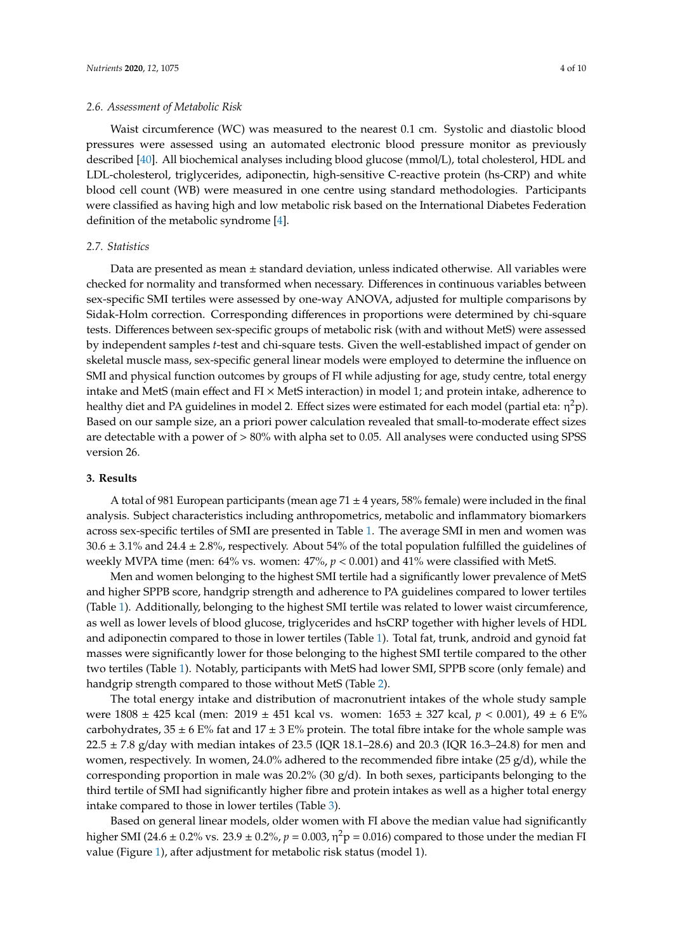#### *2.6. Assessment of Metabolic Risk*

Waist circumference (WC) was measured to the nearest 0.1 cm. Systolic and diastolic blood pressures were assessed using an automated electronic blood pressure monitor as previously described [\[40\]](#page-9-8). All biochemical analyses including blood glucose (mmol/L), total cholesterol, HDL and LDL-cholesterol, triglycerides, adiponectin, high-sensitive C-reactive protein (hs-CRP) and white blood cell count (WB) were measured in one centre using standard methodologies. Participants were classified as having high and low metabolic risk based on the International Diabetes Federation definition of the metabolic syndrome [\[4\]](#page-7-2).

# *2.7. Statistics*

Data are presented as mean  $\pm$  standard deviation, unless indicated otherwise. All variables were checked for normality and transformed when necessary. Differences in continuous variables between sex-specific SMI tertiles were assessed by one-way ANOVA, adjusted for multiple comparisons by Sidak-Holm correction. Corresponding differences in proportions were determined by chi-square tests. Differences between sex-specific groups of metabolic risk (with and without MetS) were assessed by independent samples *t*-test and chi-square tests. Given the well-established impact of gender on skeletal muscle mass, sex-specific general linear models were employed to determine the influence on SMI and physical function outcomes by groups of FI while adjusting for age, study centre, total energy intake and MetS (main effect and  $FI \times MetS$  interaction) in model 1; and protein intake, adherence to healthy diet and PA guidelines in model 2. Effect sizes were estimated for each model (partial eta:  $\eta^2$ p). Based on our sample size, an a priori power calculation revealed that small-to-moderate effect sizes are detectable with a power of > 80% with alpha set to 0.05. All analyses were conducted using SPSS version 26.

# **3. Results**

A total of 981 European participants (mean age  $71 \pm 4$  years, 58% female) were included in the final analysis. Subject characteristics including anthropometrics, metabolic and inflammatory biomarkers across sex-specific tertiles of SMI are presented in Table [1.](#page-4-0) The average SMI in men and women was  $30.6 \pm 3.1\%$  and  $24.4 \pm 2.8\%$ , respectively. About 54% of the total population fulfilled the guidelines of weekly MVPA time (men: 64% vs. women: 47%, *p* < 0.001) and 41% were classified with MetS.

Men and women belonging to the highest SMI tertile had a significantly lower prevalence of MetS and higher SPPB score, handgrip strength and adherence to PA guidelines compared to lower tertiles (Table [1\)](#page-4-0). Additionally, belonging to the highest SMI tertile was related to lower waist circumference, as well as lower levels of blood glucose, triglycerides and hsCRP together with higher levels of HDL and adiponectin compared to those in lower tertiles (Table [1\)](#page-4-0). Total fat, trunk, android and gynoid fat masses were significantly lower for those belonging to the highest SMI tertile compared to the other two tertiles (Table [1\)](#page-4-0). Notably, participants with MetS had lower SMI, SPPB score (only female) and handgrip strength compared to those without MetS (Table [2\)](#page-4-1).

The total energy intake and distribution of macronutrient intakes of the whole study sample were 1808 ± 425 kcal (men: 2019 ± 451 kcal vs. women: 1653 ± 327 kcal, *p* < 0.001), 49 ± 6 E% carbohydrates,  $35 \pm 6$  E% fat and  $17 \pm 3$  E% protein. The total fibre intake for the whole sample was 22.5  $\pm$  7.8 g/day with median intakes of 23.5 (IQR 18.1–28.6) and 20.3 (IQR 16.3–24.8) for men and women, respectively. In women, 24.0% adhered to the recommended fibre intake (25  $g/d$ ), while the corresponding proportion in male was  $20.2\%$  (30 g/d). In both sexes, participants belonging to the third tertile of SMI had significantly higher fibre and protein intakes as well as a higher total energy intake compared to those in lower tertiles (Table [3\)](#page-5-0).

Based on general linear models, older women with FI above the median value had significantly higher SMI (24.6  $\pm$  0.2% vs. 23.9  $\pm$  0.2%,  $p = 0.003$ ,  $\eta^2 p = 0.016$ ) compared to those under the median FI value (Figure [1\)](#page-5-1), after adjustment for metabolic risk status (model 1).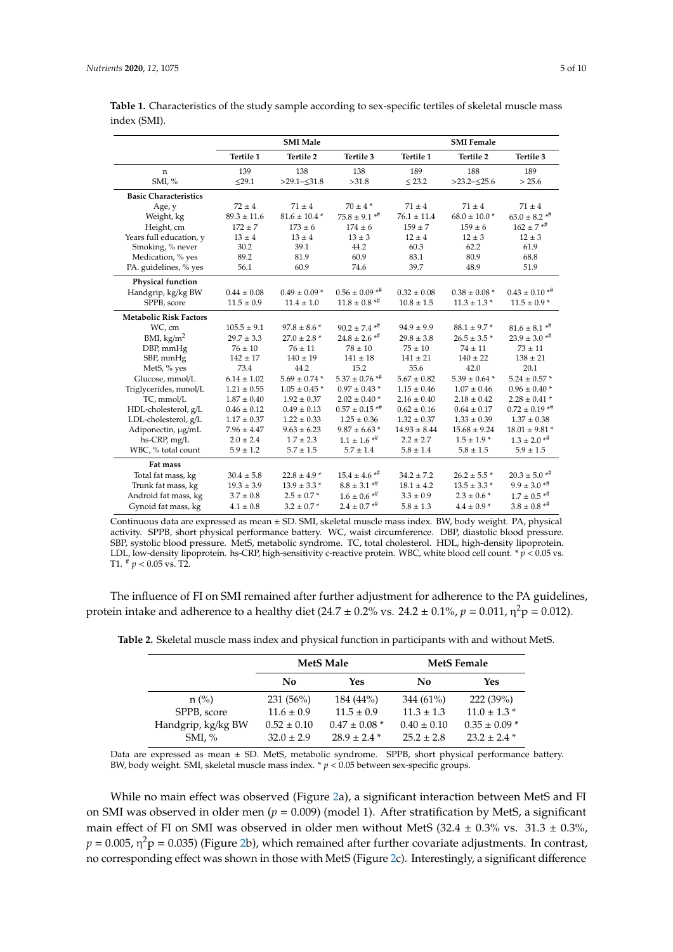|                               | <b>SMI Male</b> |                   |                                | <b>SMI</b> Female |                   |                                |
|-------------------------------|-----------------|-------------------|--------------------------------|-------------------|-------------------|--------------------------------|
|                               | Tertile 1       | Tertile 2         | Tertile 3                      | Tertile 1         | Tertile 2         | Tertile 3                      |
| n                             | 139             | 138               | 138                            | 189               | 188               | 189                            |
| SMI, $%$                      | $\leq$ 29.1     | $>29.1-\leq31.8$  | >31.8                          | $\leq$ 23.2       | $>23.2-\leq25.6$  | > 25.6                         |
| <b>Basic Characteristics</b>  |                 |                   |                                |                   |                   |                                |
| Age, y                        | $72 \pm 4$      | $71 \pm 4$        | $70 \pm 4*$                    | $71 \pm 4$        | $71 \pm 4$        | $71 \pm 4$                     |
| Weight, kg                    | $89.3 \pm 11.6$ | $81.6 \pm 10.4$ * | $75.8 \pm 9.1$ * <sup>#</sup>  | $76.1 \pm 11.4$   | $68.0 \pm 10.0$ * | $63.0\pm8.2$ $^{* \#}$         |
| Height, cm                    | $172 \pm 7$     | $173 \pm 6$       | $174 \pm 6$                    | $159 \pm 7$       | $159 \pm 6$       | $162 \pm 7$ * <sup>#</sup>     |
| Years full education, y       | $13 \pm 4$      | $13 \pm 4$        | $13 \pm 3$                     | $12 \pm 4$        | $12 \pm 3$        | $12 \pm 3$                     |
| Smoking, % never              | 30.2            | 39.1              | 44.2                           | 60.3              | 62.2              | 61.9                           |
| Medication, % yes             | 89.2            | 81.9              | 60.9                           | 83.1              | 80.9              | 68.8                           |
| PA. guidelines, % yes         | 56.1            | 60.9              | 74.6                           | 39.7              | 48.9              | 51.9                           |
| Physical function             |                 |                   |                                |                   |                   |                                |
| Handgrip, kg/kg BW            | $0.44 \pm 0.08$ | $0.49 \pm 0.09$ * | $0.56 \pm 0.09$ **             | $0.32 \pm 0.08$   | $0.38 \pm 0.08$ * | $0.43 \pm 0.10$ * <sup>#</sup> |
| SPPB, score                   | $11.5 \pm 0.9$  | $11.4 \pm 1.0$    | $11.8 \pm 0.8$ *#              | $10.8 \pm 1.5$    | $11.3 \pm 1.3$ *  | $11.5 \pm 0.9$ *               |
| <b>Metabolic Risk Factors</b> |                 |                   |                                |                   |                   |                                |
| WC, cm                        | $105.5 \pm 9.1$ | $97.8 \pm 8.6$ *  | $90.2 \pm 7.4$ * <sup>#</sup>  | $94.9 \pm 9.9$    | $88.1 \pm 9.7$ *  | $81.6 \pm 8.1$ **              |
| BMI, $\text{kg/m}^2$          | $29.7 \pm 3.3$  | $27.0 \pm 2.8$ *  | $24.8 \pm 2.6$ **              | $29.8 \pm 3.8$    | $26.5 \pm 3.5$ *  | $23.9 \pm 3.0$ * <sup>#</sup>  |
| DBP, mmHg                     | $76 \pm 10$     | $76 \pm 11$       | $78 \pm 10$                    | $75 \pm 10$       | $74 \pm 11$       | $73 \pm 11$                    |
| SBP, mmHg                     | $142 \pm 17$    | $140 \pm 19$      | $141\pm18$                     | $141 \pm 21$      | $140 \pm 22$      | $138 \pm 21$                   |
| MetS, % yes                   | 73.4            | 44.2              | 15.2                           | 55.6              | 42.0              | 20.1                           |
| Glucose, mmol/L               | $6.14 \pm 1.02$ | $5.69 \pm 0.74$ * | $5.37 \pm 0.76$ * <sup>#</sup> | $5.67 \pm 0.82$   | $5.39 \pm 0.64$ * | $5.24 \pm 0.57$ *              |
| Triglycerides, mmol/L         | $1.21 \pm 0.55$ | $1.05 \pm 0.45$ * | $0.97 \pm 0.43$ *              | $1.15 \pm 0.46$   | $1.07 \pm 0.46$   | $0.96\pm0.40$ *                |
| TC, mmol/L                    | $1.87 \pm 0.40$ | $1.92 \pm 0.37$   | $2.02 \pm 0.40$ *              | $2.16 \pm 0.40$   | $2.18 \pm 0.42$   | $2.28 \pm 0.41$ *              |
| HDL-cholesterol, g/L          | $0.46 \pm 0.12$ | $0.49 \pm 0.13$   | $0.57 \pm 0.15$ * <sup>#</sup> | $0.62 \pm 0.16$   | $0.64 \pm 0.17$   | $0.72 \pm 0.19$ **             |
| LDL-cholesterol, g/L          | $1.17 \pm 0.37$ | $1.22 \pm 0.33$   | $1.25 \pm 0.36$                | $1.32 \pm 0.37$   | $1.33 \pm 0.39$   | $1.37 \pm 0.38$                |
| Adiponectin, µg/mL            | $7.96 \pm 4.47$ | $9.63 \pm 6.23$   | $9.87 \pm 6.63$ *              | $14.93 \pm 8.44$  | $15.68 \pm 9.24$  | $18.01 \pm 9.81$ *             |
| hs-CRP, mg/L                  | $2.0 \pm 2.4$   | $1.7 \pm 2.3$     | $1.1 \pm 1.6$ **               | $2.2 \pm 2.7$     | $1.5 \pm 1.9$ *   | $1.3 \pm 2.0$ **               |
| WBC, % total count            | $5.9 \pm 1.2$   | $5.7 \pm 1.5$     | $5.7 \pm 1.4$                  | $5.8 \pm 1.4$     | $5.8 \pm 1.5$     | $5.9 \pm 1.5$                  |
| Fat mass                      |                 |                   |                                |                   |                   |                                |
| Total fat mass, kg            | $30.4 \pm 5.8$  | $22.8 \pm 4.9$ *  | $15.4 \pm 4.6$ **              | $34.2 \pm 7.2$    | $26.2 \pm 5.5$ *  | $20.3 \pm 5.0$ * <sup>#</sup>  |
| Trunk fat mass, kg            | $19.3 \pm 3.9$  | $13.9 \pm 3.3$ *  | $8.8 \pm 3.1$ **               | $18.1 \pm 4.2$    | $13.5 \pm 3.3$ *  | $9.9 \pm 3.0$ **               |
| Android fat mass, kg          | $3.7\pm0.8$     | $2.5 \pm 0.7$ *   | $1.6 \pm 0.6$ **               | $3.3 \pm 0.9$     | $2.3 \pm 0.6$ *   | $1.7 \pm 0.5$ **               |
| Gynoid fat mass, kg           | $4.1 \pm 0.8$   | $3.2 \pm 0.7$ *   | $2.4\pm0.7$ $^{*{\#}}$         | $5.8\pm1.3$       | $4.4 \pm 0.9$ *   | $3.8\pm0.8$ $^{*{\#}}$         |

<span id="page-4-0"></span>**Table 1.** Characteristics of the study sample according to sex-specific tertiles of skeletal muscle mass index (SMI).

Continuous data are expressed as mean ± SD. SMI, skeletal muscle mass index. BW, body weight. PA, physical activity. SPPB, short physical performance battery. WC, waist circumference. DBP, diastolic blood pressure. SBP, systolic blood pressure. MetS, metabolic syndrome. TC, total cholesterol. HDL, high-density lipoprotein. LDL, low-density lipoprotein. hs-CRP, high-sensitivity c-reactive protein. WBC, white blood cell count. \* *p* < 0.05 vs. T1. # *p* < 0.05 vs. T2.

The influence of FI on SMI remained after further adjustment for adherence to the PA guidelines, protein intake and adherence to a healthy diet (24.7  $\pm$  0.2% vs. 24.2  $\pm$  0.1%,  $p = 0.011$ ,  $\eta^2 p = 0.012$ ).

|                    | <b>MetS</b> Male |                   | <b>MetS</b> Female |                   |  |
|--------------------|------------------|-------------------|--------------------|-------------------|--|
|                    | No               | Yes               | No                 | Yes               |  |
| $n$ (%)            | $231(56\%)$      | $184(44\%)$       | $344(61\%)$        | 222(39%)          |  |
| SPPB, score        | $11.6 \pm 0.9$   | $11.5 \pm 0.9$    | $11.3 \pm 1.3$     | $11.0 \pm 1.3$ *  |  |
| Handgrip, kg/kg BW | $0.52 \pm 0.10$  | $0.47 \pm 0.08$ * | $0.40 \pm 0.10$    | $0.35 \pm 0.09$ * |  |
| $SMI, \%$          | $32.0 \pm 2.9$   | $28.9 \pm 2.4$ *  | $25.2 \pm 2.8$     | $23.2 \pm 2.4$ *  |  |

<span id="page-4-1"></span>**Table 2.** Skeletal muscle mass index and physical function in participants with and without MetS.

Data are expressed as mean ± SD. MetS, metabolic syndrome. SPPB, short physical performance battery. BW, body weight. SMI, skeletal muscle mass index. \* *p* < 0.05 between sex-specific groups.

While no main effect was observed (Figure [2a](#page-5-2)), a significant interaction between MetS and FI on SMI was observed in older men (*p* = 0.009) (model 1). After stratification by MetS, a significant main effect of FI on SMI was observed in older men without MetS (32.4  $\pm$  0.3% vs. 31.3  $\pm$  0.3%,  $p = 0.005$ , η<sup>2</sup>p = 0.035) (Figure [2b](#page-5-2)), which remained after further covariate adjustments. In contrast, no corresponding effect was shown in those with MetS (Figure [2c](#page-5-2)). Interestingly, a significant difference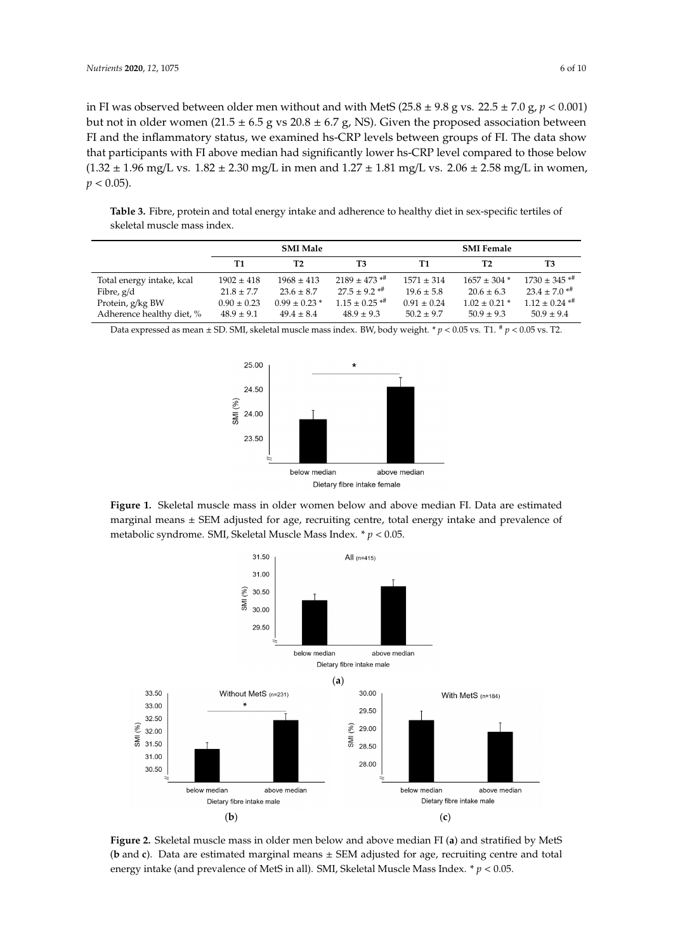in FI was observed between older men without and with MetS  $(25.8 \pm 9.8 \text{ g} \text{ vs. } 22.5 \pm 7.0 \text{ g}, p < 0.001)$ but not in older women  $(21.5 \pm 6.5 \text{ g} \text{ vs } 20.8 \pm 6.7 \text{ g}$ , NS). Given the proposed association between FI and the inflammatory status, we examined hs-CRP levels between groups of FI. The data show<br> **SMI MALE ALE SMI FEMALE AND STATE OF PRACTICAL** that participants with FI above median had significantly lower hs-CRP level compared to those below  $(1.32 \pm 1.96 \text{ mg/L vs. } 1.82 \pm 2.30 \text{ mg/L in men and } 1.27 \pm 1.81 \text{ mg/L vs. } 2.06 \pm 2.58 \text{ mg/L in women}$  $p < 0.05$ ).  $T = T$ otal energy  $\pm$  1902  $\pm$  1902  $\pm$  418 1968  $\pm$  413  $\pm$  413  $\pm$  413  $\pm$  413  $\pm$  413  $\pm$  413  $\pm$  413  $\pm$  413  $\pm$  413  $\pm$  413  $\pm$  413  $\pm$  413  $\pm$  413  $\pm$  413  $\pm$  413  $\pm$  413  $\pm$  413  $\pm$  413  $\pm$  413  $\frac{1}{2}$ .8  $\frac{1}{2}$ .8  $\frac{1}{2}$ .8  $\frac{1}{2}$ .8  $\frac{1}{2}$ .8  $\frac{1}{2}$ .5  $\frac{1}{2}$ .6  $\frac{1}{2}$ .6  $\frac{1}{2}$ .6  $\frac{1}{2}$ 

<span id="page-5-0"></span>Table 3. Fibre, protein and total energy intake and adherence to healthy diet in sex-specific tertiles of skeletal muscle mass index.

|                                               | <b>SMI Male</b>                   |                                     |                                                  | <b>SMI Female</b>                 |                                     |                                                  |
|-----------------------------------------------|-----------------------------------|-------------------------------------|--------------------------------------------------|-----------------------------------|-------------------------------------|--------------------------------------------------|
|                                               | T1                                | T <sub>2</sub>                      | T3                                               | Т1                                | T2                                  | T3                                               |
| Total energy intake, kcal                     | $1902 \pm 418$                    | $1968 \pm 413$                      | $2189 \pm 473$ * <sup>#</sup>                    | $1571 \pm 314$                    | $1657 \pm 304$ *                    | $1730 \pm 345$ * <sup>#</sup>                    |
| Fibre, g/d                                    | $21.8 \pm 7.7$                    | $23.6 \pm 8.7$                      | $27.5 + 9.2$ <sup>*#</sup>                       | $19.6 \pm 5.8$                    | $20.6 \pm 6.3$                      | $23.4 \pm 7.0$ * <sup>#</sup>                    |
| Protein, g/kg BW<br>Adherence healthy diet, % | $0.90 \pm 0.23$<br>$48.9 \pm 9.1$ | $0.99 \pm 0.23$ *<br>$49.4 \pm 8.4$ | $1.15 \pm 0.25$ * <sup>#</sup><br>$48.9 \pm 9.3$ | $0.91 \pm 0.24$<br>$50.2 \pm 9.7$ | $1.02 \pm 0.21$ *<br>$50.9 \pm 9.3$ | $1.12 \pm 0.24$ * <sup>#</sup><br>$50.9 \pm 9.4$ |

<span id="page-5-1"></span>Data expressed as mean  $\pm$  SD. SMI, skeletal muscle mass index. BW, body weight.  $*$   $p$  < 0.05 vs. T1.  $*$   $p$  < 0.05 vs. T2.



marginal means ± SEM adjusted for age, recruiting centre, total energy intake and prevalence of metabolic syndrome. SMI, Skeletal Muscle Mass Index.  $* p < 0.05$ . **Figure 1.** Skeletal muscle mass in older women below and above median FI. Data are estimated

<span id="page-5-2"></span>

Figure 2. Skeletal muscle mass in older men below and above median FI (a) and stratified by MetS (**b** and **c**). Data are estimated marginal means  $\pm$  SEM adjusted for age, recruiting centre and total intake (and prevalence of MetS in all). SMI, Skeletal Muscle Mass Index. \* *p* < 0.05. energy intake (and prevalence of MetS in all). SMI, Skeletal Muscle Mass Index. \* *p* < 0.05.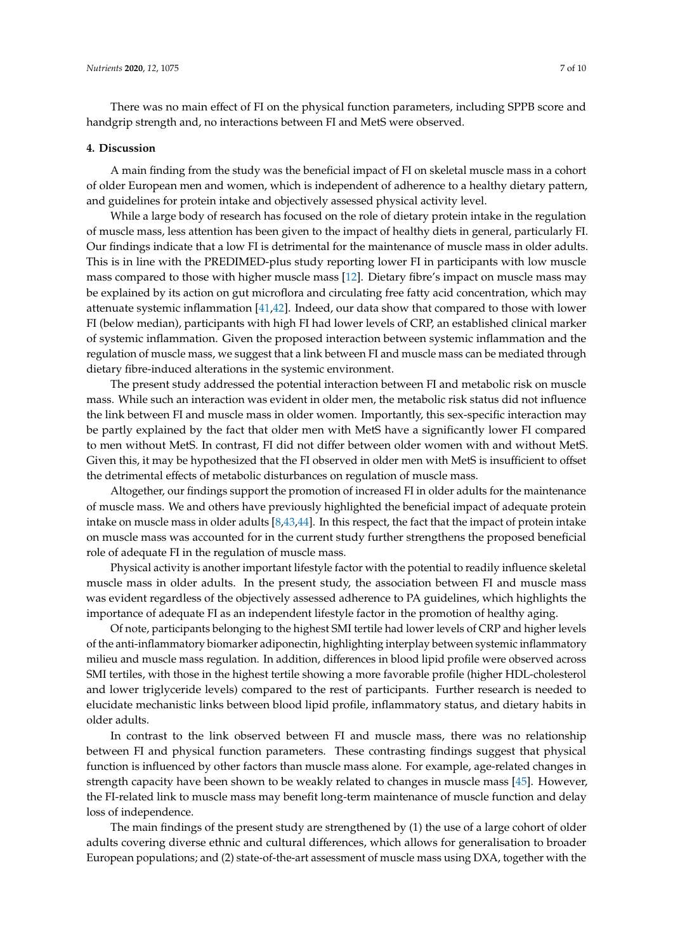There was no main effect of FI on the physical function parameters, including SPPB score and handgrip strength and, no interactions between FI and MetS were observed.

#### **4. Discussion**

A main finding from the study was the beneficial impact of FI on skeletal muscle mass in a cohort of older European men and women, which is independent of adherence to a healthy dietary pattern, and guidelines for protein intake and objectively assessed physical activity level.

While a large body of research has focused on the role of dietary protein intake in the regulation of muscle mass, less attention has been given to the impact of healthy diets in general, particularly FI. Our findings indicate that a low FI is detrimental for the maintenance of muscle mass in older adults. This is in line with the PREDIMED-plus study reporting lower FI in participants with low muscle mass compared to those with higher muscle mass [\[12\]](#page-8-2). Dietary fibre's impact on muscle mass may be explained by its action on gut microflora and circulating free fatty acid concentration, which may attenuate systemic inflammation [\[41,](#page-9-9)[42\]](#page-9-10). Indeed, our data show that compared to those with lower FI (below median), participants with high FI had lower levels of CRP, an established clinical marker of systemic inflammation. Given the proposed interaction between systemic inflammation and the regulation of muscle mass, we suggest that a link between FI and muscle mass can be mediated through dietary fibre-induced alterations in the systemic environment.

The present study addressed the potential interaction between FI and metabolic risk on muscle mass. While such an interaction was evident in older men, the metabolic risk status did not influence the link between FI and muscle mass in older women. Importantly, this sex-specific interaction may be partly explained by the fact that older men with MetS have a significantly lower FI compared to men without MetS. In contrast, FI did not differ between older women with and without MetS. Given this, it may be hypothesized that the FI observed in older men with MetS is insufficient to offset the detrimental effects of metabolic disturbances on regulation of muscle mass.

Altogether, our findings support the promotion of increased FI in older adults for the maintenance of muscle mass. We and others have previously highlighted the beneficial impact of adequate protein intake on muscle mass in older adults [\[8,](#page-7-6)[43](#page-9-11)[,44\]](#page-9-12). In this respect, the fact that the impact of protein intake on muscle mass was accounted for in the current study further strengthens the proposed beneficial role of adequate FI in the regulation of muscle mass.

Physical activity is another important lifestyle factor with the potential to readily influence skeletal muscle mass in older adults. In the present study, the association between FI and muscle mass was evident regardless of the objectively assessed adherence to PA guidelines, which highlights the importance of adequate FI as an independent lifestyle factor in the promotion of healthy aging.

Of note, participants belonging to the highest SMI tertile had lower levels of CRP and higher levels of the anti-inflammatory biomarker adiponectin, highlighting interplay between systemic inflammatory milieu and muscle mass regulation. In addition, differences in blood lipid profile were observed across SMI tertiles, with those in the highest tertile showing a more favorable profile (higher HDL-cholesterol and lower triglyceride levels) compared to the rest of participants. Further research is needed to elucidate mechanistic links between blood lipid profile, inflammatory status, and dietary habits in older adults.

In contrast to the link observed between FI and muscle mass, there was no relationship between FI and physical function parameters. These contrasting findings suggest that physical function is influenced by other factors than muscle mass alone. For example, age-related changes in strength capacity have been shown to be weakly related to changes in muscle mass [\[45\]](#page-9-13). However, the FI-related link to muscle mass may benefit long-term maintenance of muscle function and delay loss of independence.

The main findings of the present study are strengthened by (1) the use of a large cohort of older adults covering diverse ethnic and cultural differences, which allows for generalisation to broader European populations; and (2) state-of-the-art assessment of muscle mass using DXA, together with the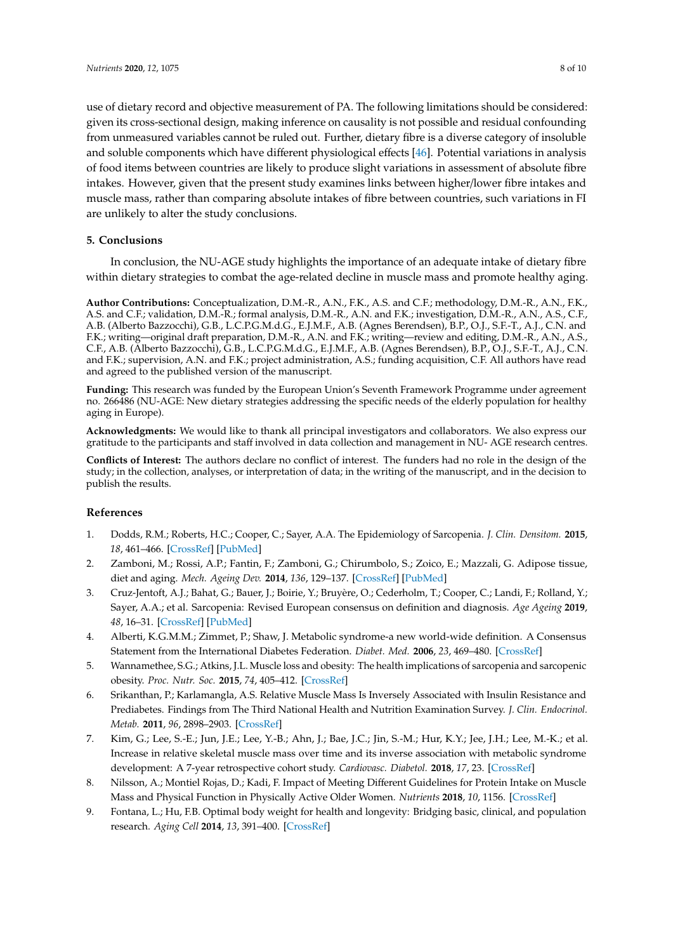use of dietary record and objective measurement of PA. The following limitations should be considered: given its cross-sectional design, making inference on causality is not possible and residual confounding from unmeasured variables cannot be ruled out. Further, dietary fibre is a diverse category of insoluble and soluble components which have different physiological effects [\[46\]](#page-9-14). Potential variations in analysis of food items between countries are likely to produce slight variations in assessment of absolute fibre intakes. However, given that the present study examines links between higher/lower fibre intakes and muscle mass, rather than comparing absolute intakes of fibre between countries, such variations in FI are unlikely to alter the study conclusions.

## **5. Conclusions**

In conclusion, the NU-AGE study highlights the importance of an adequate intake of dietary fibre within dietary strategies to combat the age-related decline in muscle mass and promote healthy aging.

**Author Contributions:** Conceptualization, D.M.-R., A.N., F.K., A.S. and C.F.; methodology, D.M.-R., A.N., F.K., A.S. and C.F.; validation, D.M.-R.; formal analysis, D.M.-R., A.N. and F.K.; investigation, D.M.-R., A.N., A.S., C.F., A.B. (Alberto Bazzocchi), G.B., L.C.P.G.M.d.G., E.J.M.F., A.B. (Agnes Berendsen), B.P., O.J., S.F.-T., A.J., C.N. and F.K.; writing—original draft preparation, D.M.-R., A.N. and F.K.; writing—review and editing, D.M.-R., A.N., A.S., C.F., A.B. (Alberto Bazzocchi), G.B., L.C.P.G.M.d.G., E.J.M.F., A.B. (Agnes Berendsen), B.P., O.J., S.F.-T., A.J., C.N. and F.K.; supervision, A.N. and F.K.; project administration, A.S.; funding acquisition, C.F. All authors have read and agreed to the published version of the manuscript.

**Funding:** This research was funded by the European Union's Seventh Framework Programme under agreement no. 266486 (NU-AGE: New dietary strategies addressing the specific needs of the elderly population for healthy aging in Europe).

**Acknowledgments:** We would like to thank all principal investigators and collaborators. We also express our gratitude to the participants and staff involved in data collection and management in NU- AGE research centres.

**Conflicts of Interest:** The authors declare no conflict of interest. The funders had no role in the design of the study; in the collection, analyses, or interpretation of data; in the writing of the manuscript, and in the decision to publish the results.

# **References**

- <span id="page-7-0"></span>1. Dodds, R.M.; Roberts, H.C.; Cooper, C.; Sayer, A.A. The Epidemiology of Sarcopenia. *J. Clin. Densitom.* **2015**, *18*, 461–466. [\[CrossRef\]](http://dx.doi.org/10.1016/j.jocd.2015.04.012) [\[PubMed\]](http://www.ncbi.nlm.nih.gov/pubmed/26073423)
- 2. Zamboni, M.; Rossi, A.P.; Fantin, F.; Zamboni, G.; Chirumbolo, S.; Zoico, E.; Mazzali, G. Adipose tissue, diet and aging. *Mech. Ageing Dev.* **2014**, *136*, 129–137. [\[CrossRef\]](http://dx.doi.org/10.1016/j.mad.2013.11.008) [\[PubMed\]](http://www.ncbi.nlm.nih.gov/pubmed/24321378)
- <span id="page-7-1"></span>3. Cruz-Jentoft, A.J.; Bahat, G.; Bauer, J.; Boirie, Y.; Bruyère, O.; Cederholm, T.; Cooper, C.; Landi, F.; Rolland, Y.; Sayer, A.A.; et al. Sarcopenia: Revised European consensus on definition and diagnosis. *Age Ageing* **2019**, *48*, 16–31. [\[CrossRef\]](http://dx.doi.org/10.1093/ageing/afy169) [\[PubMed\]](http://www.ncbi.nlm.nih.gov/pubmed/30312372)
- <span id="page-7-2"></span>4. Alberti, K.G.M.M.; Zimmet, P.; Shaw, J. Metabolic syndrome-a new world-wide definition. A Consensus Statement from the International Diabetes Federation. *Diabet. Med.* **2006**, *23*, 469–480. [\[CrossRef\]](http://dx.doi.org/10.1111/j.1464-5491.2006.01858.x)
- <span id="page-7-3"></span>5. Wannamethee, S.G.; Atkins, J.L. Muscle loss and obesity: The health implications of sarcopenia and sarcopenic obesity. *Proc. Nutr. Soc.* **2015**, *74*, 405–412. [\[CrossRef\]](http://dx.doi.org/10.1017/S002966511500169X)
- <span id="page-7-4"></span>6. Srikanthan, P.; Karlamangla, A.S. Relative Muscle Mass Is Inversely Associated with Insulin Resistance and Prediabetes. Findings from The Third National Health and Nutrition Examination Survey. *J. Clin. Endocrinol. Metab.* **2011**, *96*, 2898–2903. [\[CrossRef\]](http://dx.doi.org/10.1210/jc.2011-0435)
- <span id="page-7-5"></span>7. Kim, G.; Lee, S.-E.; Jun, J.E.; Lee, Y.-B.; Ahn, J.; Bae, J.C.; Jin, S.-M.; Hur, K.Y.; Jee, J.H.; Lee, M.-K.; et al. Increase in relative skeletal muscle mass over time and its inverse association with metabolic syndrome development: A 7-year retrospective cohort study. *Cardiovasc. Diabetol.* **2018**, *17*, 23. [\[CrossRef\]](http://dx.doi.org/10.1186/s12933-018-0659-2)
- <span id="page-7-6"></span>8. Nilsson, A.; Montiel Rojas, D.; Kadi, F. Impact of Meeting Different Guidelines for Protein Intake on Muscle Mass and Physical Function in Physically Active Older Women. *Nutrients* **2018**, *10*, 1156. [\[CrossRef\]](http://dx.doi.org/10.3390/nu10091156)
- <span id="page-7-7"></span>9. Fontana, L.; Hu, F.B. Optimal body weight for health and longevity: Bridging basic, clinical, and population research. *Aging Cell* **2014**, *13*, 391–400. [\[CrossRef\]](http://dx.doi.org/10.1111/acel.12207)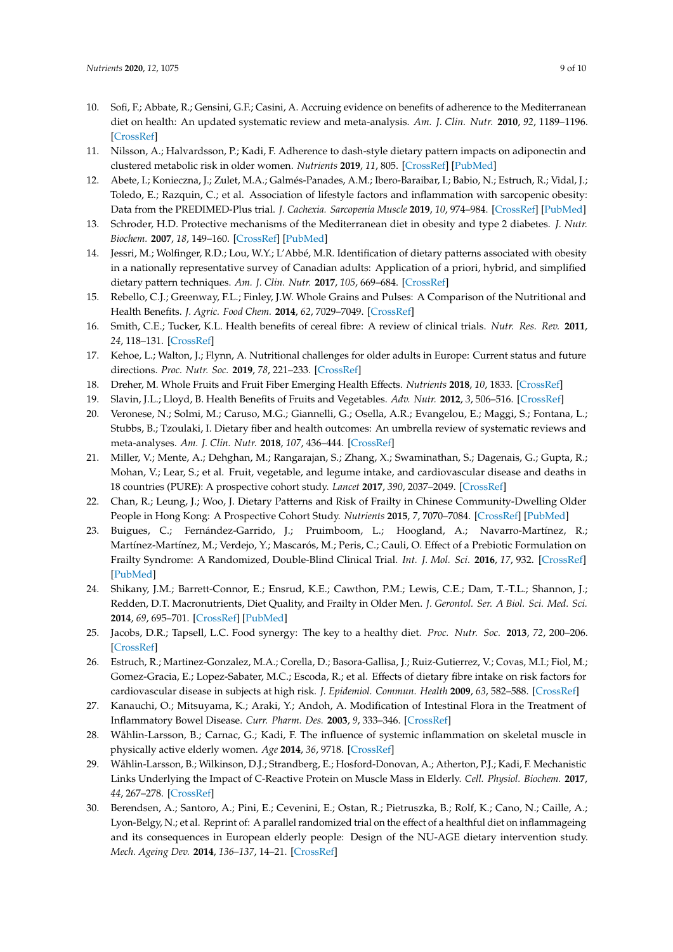- <span id="page-8-0"></span>10. Sofi, F.; Abbate, R.; Gensini, G.F.; Casini, A. Accruing evidence on benefits of adherence to the Mediterranean diet on health: An updated systematic review and meta-analysis. *Am. J. Clin. Nutr.* **2010**, *92*, 1189–1196. [\[CrossRef\]](http://dx.doi.org/10.3945/ajcn.2010.29673)
- <span id="page-8-1"></span>11. Nilsson, A.; Halvardsson, P.; Kadi, F. Adherence to dash-style dietary pattern impacts on adiponectin and clustered metabolic risk in older women. *Nutrients* **2019**, *11*, 805. [\[CrossRef\]](http://dx.doi.org/10.3390/nu11040805) [\[PubMed\]](http://www.ncbi.nlm.nih.gov/pubmed/30970648)
- <span id="page-8-2"></span>12. Abete, I.; Konieczna, J.; Zulet, M.A.; Galmés-Panades, A.M.; Ibero-Baraibar, I.; Babio, N.; Estruch, R.; Vidal, J.; Toledo, E.; Razquin, C.; et al. Association of lifestyle factors and inflammation with sarcopenic obesity: Data from the PREDIMED-Plus trial. *J. Cachexia. Sarcopenia Muscle* **2019**, *10*, 974–984. [\[CrossRef\]](http://dx.doi.org/10.1002/jcsm.12442) [\[PubMed\]](http://www.ncbi.nlm.nih.gov/pubmed/31144432)
- <span id="page-8-3"></span>13. Schroder, H.D. Protective mechanisms of the Mediterranean diet in obesity and type 2 diabetes. *J. Nutr. Biochem.* **2007**, *18*, 149–160. [\[CrossRef\]](http://dx.doi.org/10.1016/j.jnutbio.2006.05.006) [\[PubMed\]](http://www.ncbi.nlm.nih.gov/pubmed/16963247)
- 14. Jessri, M.; Wolfinger, R.D.; Lou, W.Y.; L'Abbé, M.R. Identification of dietary patterns associated with obesity in a nationally representative survey of Canadian adults: Application of a priori, hybrid, and simplified dietary pattern techniques. *Am. J. Clin. Nutr.* **2017**, *105*, 669–684. [\[CrossRef\]](http://dx.doi.org/10.3945/ajcn.116.134684)
- <span id="page-8-4"></span>15. Rebello, C.J.; Greenway, F.L.; Finley, J.W. Whole Grains and Pulses: A Comparison of the Nutritional and Health Benefits. *J. Agric. Food Chem.* **2014**, *62*, 7029–7049. [\[CrossRef\]](http://dx.doi.org/10.1021/jf500932z)
- <span id="page-8-5"></span>16. Smith, C.E.; Tucker, K.L. Health benefits of cereal fibre: A review of clinical trials. *Nutr. Res. Rev.* **2011**, *24*, 118–131. [\[CrossRef\]](http://dx.doi.org/10.1017/S0954422411000023)
- <span id="page-8-6"></span>17. Kehoe, L.; Walton, J.; Flynn, A. Nutritional challenges for older adults in Europe: Current status and future directions. *Proc. Nutr. Soc.* **2019**, *78*, 221–233. [\[CrossRef\]](http://dx.doi.org/10.1017/S0029665118002744)
- <span id="page-8-7"></span>18. Dreher, M. Whole Fruits and Fruit Fiber Emerging Health Effects. *Nutrients* **2018**, *10*, 1833. [\[CrossRef\]](http://dx.doi.org/10.3390/nu10121833)
- 19. Slavin, J.L.; Lloyd, B. Health Benefits of Fruits and Vegetables. *Adv. Nutr.* **2012**, *3*, 506–516. [\[CrossRef\]](http://dx.doi.org/10.3945/an.112.002154)
- 20. Veronese, N.; Solmi, M.; Caruso, M.G.; Giannelli, G.; Osella, A.R.; Evangelou, E.; Maggi, S.; Fontana, L.; Stubbs, B.; Tzoulaki, I. Dietary fiber and health outcomes: An umbrella review of systematic reviews and meta-analyses. *Am. J. Clin. Nutr.* **2018**, *107*, 436–444. [\[CrossRef\]](http://dx.doi.org/10.1093/ajcn/nqx082)
- <span id="page-8-8"></span>21. Miller, V.; Mente, A.; Dehghan, M.; Rangarajan, S.; Zhang, X.; Swaminathan, S.; Dagenais, G.; Gupta, R.; Mohan, V.; Lear, S.; et al. Fruit, vegetable, and legume intake, and cardiovascular disease and deaths in 18 countries (PURE): A prospective cohort study. *Lancet* **2017**, *390*, 2037–2049. [\[CrossRef\]](http://dx.doi.org/10.1016/S0140-6736(17)32253-5)
- <span id="page-8-9"></span>22. Chan, R.; Leung, J.; Woo, J. Dietary Patterns and Risk of Frailty in Chinese Community-Dwelling Older People in Hong Kong: A Prospective Cohort Study. *Nutrients* **2015**, *7*, 7070–7084. [\[CrossRef\]](http://dx.doi.org/10.3390/nu7085326) [\[PubMed\]](http://www.ncbi.nlm.nih.gov/pubmed/26305253)
- 23. Buigues, C.; Fernández-Garrido, J.; Pruimboom, L.; Hoogland, A.; Navarro-Martínez, R.; Martínez-Martínez, M.; Verdejo, Y.; Mascarós, M.; Peris, C.; Cauli, O. Effect of a Prebiotic Formulation on Frailty Syndrome: A Randomized, Double-Blind Clinical Trial. *Int. J. Mol. Sci.* **2016**, *17*, 932. [\[CrossRef\]](http://dx.doi.org/10.3390/ijms17060932) [\[PubMed\]](http://www.ncbi.nlm.nih.gov/pubmed/27314331)
- 24. Shikany, J.M.; Barrett-Connor, E.; Ensrud, K.E.; Cawthon, P.M.; Lewis, C.E.; Dam, T.-T.L.; Shannon, J.; Redden, D.T. Macronutrients, Diet Quality, and Frailty in Older Men. *J. Gerontol. Ser. A Biol. Sci. Med. Sci.* **2014**, *69*, 695–701. [\[CrossRef\]](http://dx.doi.org/10.1093/gerona/glt196) [\[PubMed\]](http://www.ncbi.nlm.nih.gov/pubmed/24304504)
- <span id="page-8-10"></span>25. Jacobs, D.R.; Tapsell, L.C. Food synergy: The key to a healthy diet. *Proc. Nutr. Soc.* **2013**, *72*, 200–206. [\[CrossRef\]](http://dx.doi.org/10.1017/S0029665112003011)
- <span id="page-8-11"></span>26. Estruch, R.; Martinez-Gonzalez, M.A.; Corella, D.; Basora-Gallisa, J.; Ruiz-Gutierrez, V.; Covas, M.I.; Fiol, M.; Gomez-Gracia, E.; Lopez-Sabater, M.C.; Escoda, R.; et al. Effects of dietary fibre intake on risk factors for cardiovascular disease in subjects at high risk. *J. Epidemiol. Commun. Health* **2009**, *63*, 582–588. [\[CrossRef\]](http://dx.doi.org/10.1136/jech.2008.082214)
- <span id="page-8-12"></span>27. Kanauchi, O.; Mitsuyama, K.; Araki, Y.; Andoh, A. Modification of Intestinal Flora in the Treatment of Inflammatory Bowel Disease. *Curr. Pharm. Des.* **2003**, *9*, 333–346. [\[CrossRef\]](http://dx.doi.org/10.2174/1381612033391883)
- <span id="page-8-13"></span>28. Wåhlin-Larsson, B.; Carnac, G.; Kadi, F. The influence of systemic inflammation on skeletal muscle in physically active elderly women. *Age* **2014**, *36*, 9718. [\[CrossRef\]](http://dx.doi.org/10.1007/s11357-014-9718-0)
- <span id="page-8-14"></span>29. Wåhlin-Larsson, B.; Wilkinson, D.J.; Strandberg, E.; Hosford-Donovan, A.; Atherton, P.J.; Kadi, F. Mechanistic Links Underlying the Impact of C-Reactive Protein on Muscle Mass in Elderly. *Cell. Physiol. Biochem.* **2017**, *44*, 267–278. [\[CrossRef\]](http://dx.doi.org/10.1159/000484679)
- <span id="page-8-15"></span>30. Berendsen, A.; Santoro, A.; Pini, E.; Cevenini, E.; Ostan, R.; Pietruszka, B.; Rolf, K.; Cano, N.; Caille, A.; Lyon-Belgy, N.; et al. Reprint of: A parallel randomized trial on the effect of a healthful diet on inflammageing and its consequences in European elderly people: Design of the NU-AGE dietary intervention study. *Mech. Ageing Dev.* **2014**, *136–137*, 14–21. [\[CrossRef\]](http://dx.doi.org/10.1016/j.mad.2014.03.001)